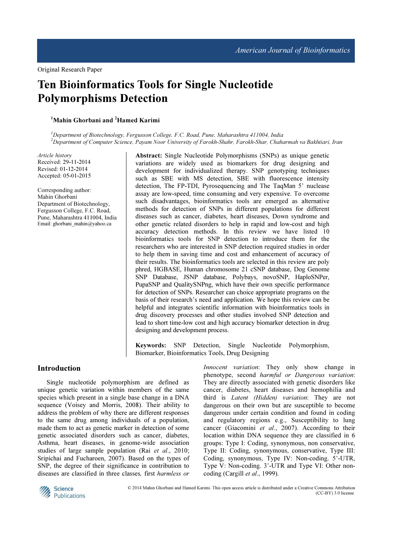# Ten Bioinformatics Tools for Single Nucleotide Polymorphisms Detection

# <sup>1</sup>Mahin Ghorbani and <sup>2</sup>Hamed Karimi

<sup>1</sup>Department of Biotechnology, Fergusson College, F.C. Road, Pune, Maharashtra 411004, India <sup>2</sup>Department of Computer Science, Payam Noor University of Farokh-Shahr, Farokh-Shar, Chaharmah va Bakhtiari, Iran

Article history Received: 29-11-2014 Revised: 01-12-2014 Accepted: 05-01-2015

Corresponding author: Mahin Ghorbani Department of Biotechnology, Fergusson College, F.C. Road, Pune, Maharashtra 411004, India Email: ghorbani\_mahin@yahoo.ca

Abstract: Single Nucleotide Polymorphisms (SNPs) as unique genetic variations are widely used as biomarkers for drug designing and development for individualized therapy. SNP genotyping techniques such as SBE with MS detection, SBE with fluorescence intensity detection, The FP-TDI, Pyrosequencing and The TaqMan 5' nuclease assay are low-speed, time consuming and very expensive. To overcome such disadvantages, bioinformatics tools are emerged as alternative methods for detection of SNPs in different populations for different diseases such as cancer, diabetes, heart diseases, Down syndrome and other genetic related disorders to help in rapid and low-cost and high accuracy detection methods. In this review we have listed 10 bioinformatics tools for SNP detection to introduce them for the researchers who are interested in SNP detection required studies in order to help them in saving time and cost and enhancement of accuracy of their results. The bioinformatics tools are selected in this review are poly phred, HGBASE, Human chromosome 21 cSNP database, Dog Genome SNP Database, JSNP database, Polybays, novoSNP, HaploSNPer, PupaSNP and QualitySNPng, which have their own specific performance for detection of SNPs. Researcher can choice appropriate programs on the basis of their research's need and application. We hope this review can be helpful and integrates scientific information with bioinformatics tools in drug discovery processes and other studies involved SNP detection and lead to short time-low cost and high accuracy biomarker detection in drug designing and development process.

Keywords: SNP Detection, Single Nucleotide Polymorphism, Biomarker, Bioinformatics Tools, Drug Designing

## Introduction

Single nucleotide polymorphism are defined as unique genetic variation within members of the same species which present in a single base change in a DNA sequence (Voisey and Morris, 2008). Their ability to address the problem of why there are different responses to the same drug among individuals of a population, made them to act as genetic marker in detection of some genetic associated disorders such as cancer, diabetes, Asthma, heart diseases, in genome-wide association studies of large sample population (Rai *et al*., 2010; Sripichai and Fucharoen, 2007). Based on the types of SNP, the degree of their significance in contribution to diseases are classified in three classes*,* first *harmless or*

*Innocent variation*: They only show change in phenotype, second *harmful or Dangerous variation*: They are directly associated with genetic disorders like cancer, diabetes, heart diseases and hemophilia and third is *Latent (Hidden) variation*: They are not dangerous on their own but are susceptible to become dangerous under certain condition and found in coding and regulatory regions e.g., Susceptibility to lung cancer (Giacomini *et al*., 2007). According to their location within DNA sequence they are classified in 6 groups: Type I: Coding, synonymous, non conservative, Type II: Coding, synonymous, conservative, Type III: Coding, synonymous, Type IV: Non-coding. 5'-UTR, Type V: Non-coding. 3'-UTR and Type VI: Other noncoding (Cargill *et al*., 1999).



© 2014 Mahin Ghorbani and Hamed Karimi. This open access article is distributed under a Creative Commons Attribution (CC-BY) 3.0 license.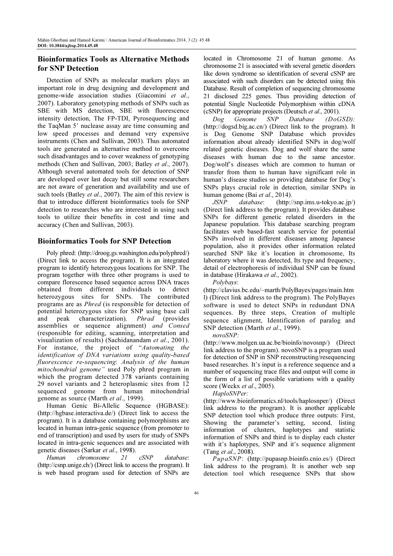# Bioinformatics Tools as Alternative Methods for SNP Detection

Detection of SNPs as molecular markers plays an important role in drug designing and development and genome-wide association studies (Giacomini *et al*., 2007). Laboratory genotyping methods of SNPs such as SBE with MS detection, SBE with fluorescence intensity detection, The FP-TDI, Pyrosequencing and the TaqMan 5' nuclease assay are time consuming and low speed processes and demand very expensive instruments (Chen and Sullivan, 2003). Thus automated tools are generated as alternative method to overcome such disadvantages and to cover weakness of genotyping methods (Chen and Sullivan, 2003; Batley *et al*., 2007). Although several automated tools for detection of SNP are developed over last decay but still some researchers are not aware of generation and availability and use of such tools (Batley *et al*., 2007). The aim of this review is that to introduce different bioinformatics tools for SNP detection to researches who are interested in using such tools to utilize their benefits in cost and time and accuracy (Chen and Sullivan, 2003).

# Bioinformatics Tools for SNP Detection

Poly phred: (http://droog.gs.washington.edu/polyphred/) (Direct link to access the program). It is an integrated program to identify heterozygous locations for SNP. The program together with three other programs is used to compare florescence based sequence across DNA traces obtained from different individuals to detect heterozygous sites for SNPs. The contributed programs are as *Phred* (is responsible for detection of potential heterozygous sites for SNP using base call and peak characterization)*, Phrad* (provides assemblies or sequence alignment) *and Consed* (responsible for editing, scanning, interpretation and visualization of results) (Sachidanandam *et al*., 2001). For instance, the project of "*Automating the identification of DNA variations using quality-based fluorescence re-sequencing*: *Analysis of the human mitochondrial genome"* used Poly phred program in which the program detected 378 variants containing 29 novel variants and 2 heteroplasmic sites from 12 sequenced genome from human mitochondrial genome as source (Marth *et al*., 1999).

Human Genic Bi-Allelic Sequence (HGBASE): (http://hgbase.interactiva.de/) (Direct link to access the program). It is a database containing polymorphisms are located in human intra-genic sequence (from promoter to end of transcription) and used by users for study of SNPs located in intra-genic sequences and are associated with genetic diseases (Sarkar *et al*., 1998).

*Human chromosome 21 cSNP database*: (http://csnp.unige.ch/) (Direct link to access the program). It is web based program used for detection of SNPs are located in Chromosome 21 of human genome. As chromosome 21 is associated with several genetic disorders like down syndrome so identification of several cSNP are associated with such disorders can be detected using this Database. Result of completion of sequencing chromosome 21 disclosed 225 genes. Thus providing detection of potential Single Nucleotide Polymorphism within cDNA (cSNP) for appropriate projects (Deutsch *et al*., 2001).

*Dog Genome SNP Database (DoGSD):* (http://dogsd.big.ac.cn/) (Direct link to the program). It is Dog Genome SNP Database which provides information about already identified SNPs in dog/wolf related genetic diseases. Dog and wolf share the same diseases with human due to the same ancestor. Dog/wolf's diseases which are common to human or transfer from them to human have significant role in human's disease studies so providing database for Dog's SNPs plays crucial role in detection, similar SNPs in human genome (Bai *et al*., 2014).

*JSNP database*: (http://snp.ims.u-tokyo.ac.jp/) (Direct link address to the program). It provides database SNPs for different genetic related disorders in the Japanese population. This database searching program facilitates web based-fast search service for potential SNPs involved in different diseases among Japanese population, also it provides other information related searched SNP like it's location in chromosome, Its laboratory where it was detected, Its type and frequency, detail of electrophoresis of individual SNP can be found in database (Hirakawa *et al*., 2002).

*Polybays*:

(http://clavius.bc.edu/~marth/PolyBayes/pages/main.htm l) (Direct link address to the program). The PolyBayes software is used to detect SNPs in redundant DNA sequences. By three steps, Creation of multiple sequence alignment, Identification of paralog and SNP detection (Marth *et al*., 1999).

*novoSNP:*

(http://www.molgen.ua.ac.be/bioinfo/novosnp/) (Direct link address to the program). novoSNP is a program used for detection of SNP in SNP reconstructing/resequencing based researches. It's input is a reference sequence and a number of sequencing trace files and output will come in the form of a list of possible variations with a quality score (Weckx *et al*., 2005).

*HaploSNPer:*

(http://www.bioinformatics.nl/tools/haplosnper/) (Direct link address to the program). It is another applicable SNP detection tool which produce three outputs: First, Showing the parameter's setting, second, listing information of clusters, haplotypes and statistic information of SNPs and third is to display each cluster with it's haplotypes, SNP and it's sequence alignment (Tang *et al*., 2008).

*PupaSNP*: (http://pupasnp.bioinfo.cnio.es/) (Direct link address to the program). It is another web snp detection tool which resequence SNPs that show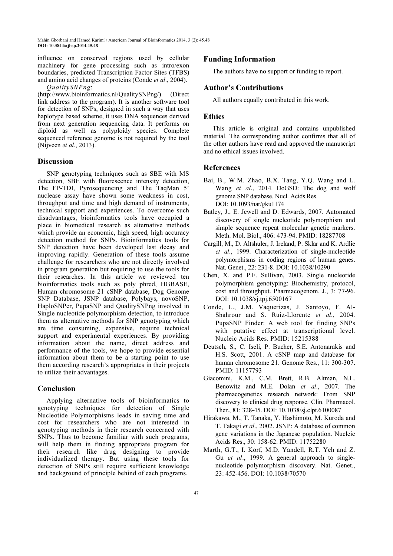influence on conserved regions used by cellular machinery for gene processing such as intro/exon boundaries, predicted Transcription Factor Sites (TFBS) and amino acid changes of proteins (Conde *et al*., 2004).

#### *QualitySNPng*:

(http://www.bioinformatics.nl/QualitySNPng/) (Direct link address to the program). It is another software tool for detection of SNPs, designed in such a way that uses haplotype based scheme, it uses DNA sequences derived from next generation sequencing data. It performs on diploid as well as polyploidy species. Complete sequenced reference genome is not required by the tool (Nijveen *et al*., 2013).

#### Discussion

SNP genotyping techniques such as SBE with MS detection, SBE with fluorescence intensity detection, The FP-TDI, Pyrosequencing and The TaqMan 5' nuclease assay have shown some weakness in cost, throughput and time and high demand of instruments, technical support and experiences. To overcome such disadvantages, bioinformatics tools have occupied a place in biomedical research as alternative methods which provide an economic, high speed, high accuracy detection method for SNPs. Bioinformatics tools for SNP detection have been developed last decay and improving rapidly. Generation of these tools assume challenge for researchers who are not directly involved in program generation but requiring to use the tools for their researches. In this article we reviewed ten bioinformatics tools such as poly phred, HGBASE, Human chromosome 21 cSNP database, Dog Genome SNP Database, JSNP database, Polybays, novoSNP, HaploSNPer, PupaSNP and QualitySNPng involved in Single nucleotide polymorphism detection, to introduce them as alternative methods for SNP genotyping which are time consuming, expensive, require technical support and experimental experiences. By providing information about the name, direct address and performance of the tools, we hope to provide essential information about them to be a starting point to use them according research's appropriates in their projects to utilize their advantages.

## Conclusion

Applying alternative tools of bioinformatics to genotyping techniques for detection of Single Nucleotide Polymorphisms leads in saving time and cost for researchers who are not interested in genotyping methods in their research concerned with SNPs. Thus to become familiar with such programs, will help them in finding appropriate program for their research like drug designing to provide individualized therapy. But using these tools for detection of SNPs still require sufficient knowledge and background of principle behind of each programs.

## Funding Information

The authors have no support or funding to report.

#### Author's Contributions

All authors equally contributed in this work.

#### **Ethics**

This article is original and contains unpublished material. The corresponding author confirms that all of the other authors have read and approved the manuscript and no ethical issues involved.

#### References

- Bai, B., W.M. Zhao, B.X. Tang, Y.Q. Wang and L. Wang *et al*., 2014. DoGSD: The dog and wolf genome SNP database. Nucl. Acids Res. DOI: 10.1093/nar/gku1174
- Batley, J., E. Jewell and D. Edwards, 2007. Automated discovery of single nucleotide polymorphism and simple sequence repeat molecular genetic markers. Meth. Mol. Biol., 406: 473-94. PMID: 18287708
- Cargill, M., D. Altshuler, J. Ireland, P. Sklar and K. Ardlie *et al*., 1999. Characterization of single-nucleotide polymorphisms in coding regions of human genes. Nat. Genet., 22: 231-8. DOI: 10.1038/10290
- Chen, X. and P.F. Sullivan, 2003. Single nucleotide polymorphism genotyping: Biochemistry, protocol, cost and throughput. Pharmacogenom. J., 3: 77-96. DOI: 10.1038/sj.tpj.6500167
- Conde, L., J.M. Vaquerizas, J. Santoyo, F. Al-Shahrour and S. Ruiz-Llorente *et al*., 2004. PupaSNP Finder: A web tool for finding SNPs with putative effect at transcriptional level. Nucleic Acids Res. PMID: 15215388
- Deutsch, S., C. Iseli, P. Bucher, S.E. Antonarakis and H.S. Scott, 2001. A cSNP map and database for human chromosome 21. Genome Res., 11: 300-307. PMID: 11157793
- Giacomini, K.M., C.M. Brett, R.B. Altman, N.L. Benowitz and M.E. Dolan *et al*., 2007. The pharmacogenetics research network: From SNP discovery to clinical drug response*.* Clin. Pharmacol. Ther., 81: 328-45. DOI: 10.1038/sj.clpt.6100087
- Hirakawa, M., T. Tanaka, Y. Hashimoto, M. Kuroda and T. Takagi *et al*., 2002. JSNP: A database of common gene variations in the Japanese population. Nucleic Acids Res., 30: 158-62. PMID: 11752280
- Marth, G.T., I. Korf, M.D. Yandell, R.T. Yeh and Z. Gu *et al*., 1999. A general approach to singlenucleotide polymorphism discovery. Nat. Genet., 23: 452-456. DOI: 10.1038/70570